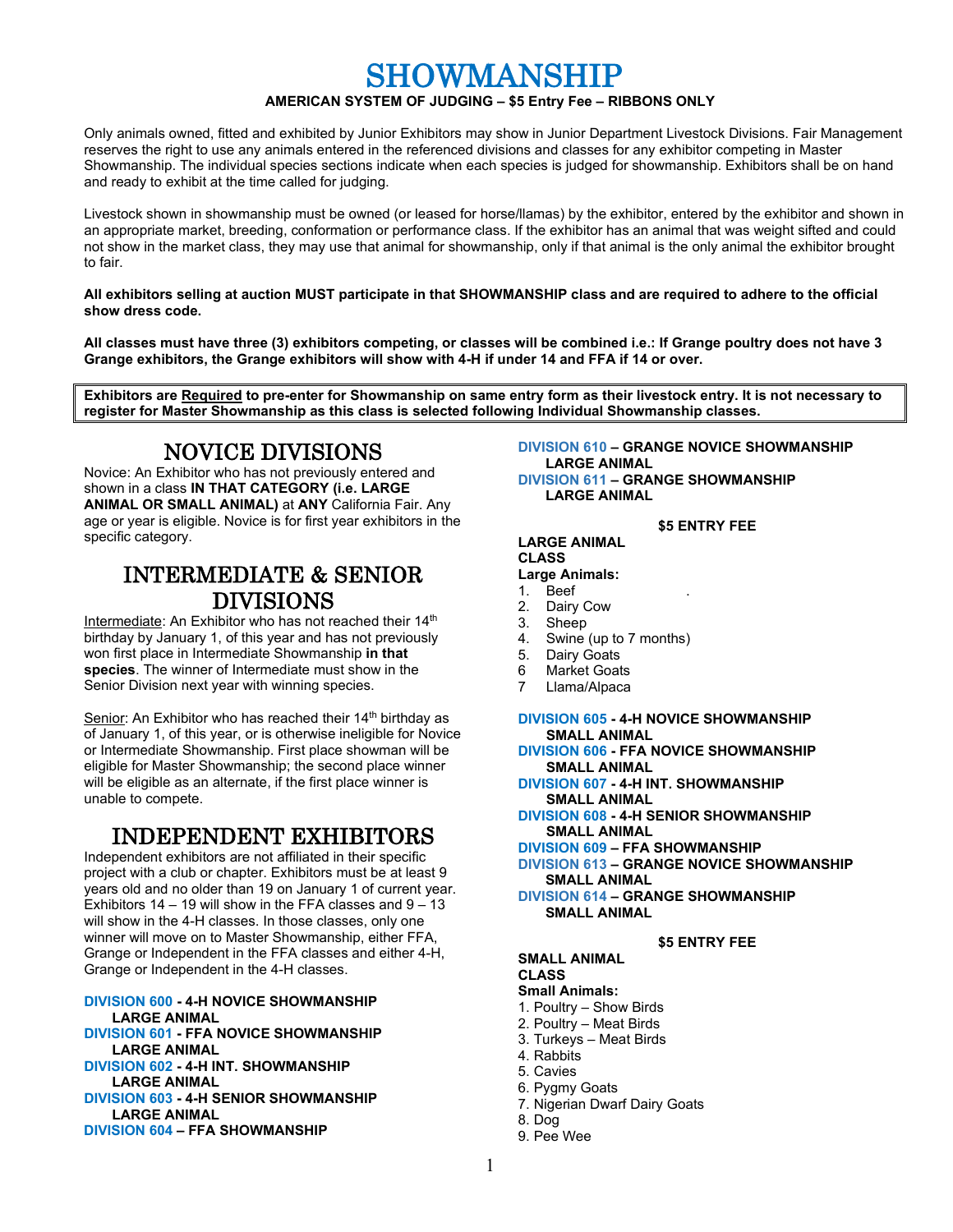# SHOWMANSHIP

# **AMERICAN SYSTEM OF JUDGING – \$5 Entry Fee – RIBBONS ONLY**

Only animals owned, fitted and exhibited by Junior Exhibitors may show in Junior Department Livestock Divisions. Fair Management reserves the right to use any animals entered in the referenced divisions and classes for any exhibitor competing in Master Showmanship. The individual species sections indicate when each species is judged for showmanship. Exhibitors shall be on hand and ready to exhibit at the time called for judging.

Livestock shown in showmanship must be owned (or leased for horse/llamas) by the exhibitor, entered by the exhibitor and shown in an appropriate market, breeding, conformation or performance class. If the exhibitor has an animal that was weight sifted and could not show in the market class, they may use that animal for showmanship, only if that animal is the only animal the exhibitor brought to fair.

### **All exhibitors selling at auction MUST participate in that SHOWMANSHIP class and are required to adhere to the official show dress code.**

**All classes must have three (3) exhibitors competing, or classes will be combined i.e.: If Grange poultry does not have 3 Grange exhibitors, the Grange exhibitors will show with 4-H if under 14 and FFA if 14 or over.**

**Exhibitors are Required to pre-enter for Showmanship on same entry form as their livestock entry. It is not necessary to register for Master Showmanship as this class is selected following Individual Showmanship classes.**

# NOVICE DIVISIONS

Novice: An Exhibitor who has not previously entered and shown in a class **IN THAT CATEGORY (i.e. LARGE ANIMAL OR SMALL ANIMAL)** at **ANY** California Fair. Any age or year is eligible. Novice is for first year exhibitors in the specific category.

# INTERMEDIATE & SENIOR DIVISIONS

Intermediate: An Exhibitor who has not reached their 14<sup>th</sup> birthday by January 1, of this year and has not previously won first place in Intermediate Showmanship **in that species**. The winner of Intermediate must show in the Senior Division next year with winning species.

Senior: An Exhibitor who has reached their 14<sup>th</sup> birthday as of January 1, of this year, or is otherwise ineligible for Novice or Intermediate Showmanship. First place showman will be eligible for Master Showmanship; the second place winner will be eligible as an alternate, if the first place winner is unable to compete.

# INDEPENDENT EXHIBITORS

Independent exhibitors are not affiliated in their specific project with a club or chapter. Exhibitors must be at least 9 years old and no older than 19 on January 1 of current year. Exhibitors  $14 - 19$  will show in the FFA classes and  $9 - 13$ will show in the 4-H classes. In those classes, only one winner will move on to Master Showmanship, either FFA, Grange or Independent in the FFA classes and either 4-H, Grange or Independent in the 4-H classes.

# **DIVISION 600 - 4-H NOVICE SHOWMANSHIP LARGE ANIMAL DIVISION 601 - FFA NOVICE SHOWMANSHIP**

- **LARGE ANIMAL DIVISION 602 - 4-H INT. SHOWMANSHIP**
- **LARGE ANIMAL DIVISION 603 - 4-H SENIOR SHOWMANSHIP LARGE ANIMAL**
- **DIVISION 604 – FFA SHOWMANSHIP**

#### **DIVISION 610 – GRANGE NOVICE SHOWMANSHIP LARGE ANIMAL DIVISION 611 – GRANGE SHOWMANSHIP LARGE ANIMAL**

**\$5 ENTRY FEE LARGE ANIMAL CLASS**

# **Large Animals:**

- 1. Beef
- 
- 2. Dairy Cow 3. Sheep
- 4. Swine (up to 7 months)
- 5. Dairy Goats
- 
- 6 Market Goats<br>7 Llama/Alpaca Llama/Alpaca

# **DIVISION 605 - 4-H NOVICE SHOWMANSHIP SMALL ANIMAL**

- **DIVISION 606 - FFA NOVICE SHOWMANSHIP SMALL ANIMAL**
- **DIVISION 607 - 4-H INT. SHOWMANSHIP SMALL ANIMAL**
- **DIVISION 608 - 4-H SENIOR SHOWMANSHIP SMALL ANIMAL**
- **DIVISION 609 – FFA SHOWMANSHIP**
- **DIVISION 613 – GRANGE NOVICE SHOWMANSHIP SMALL ANIMAL**
- **DIVISION 614 – GRANGE SHOWMANSHIP SMALL ANIMAL**

## **\$5 ENTRY FEE**

### **SMALL ANIMAL**

**CLASS**

- **Small Animals:**
- 1. Poultry Show Birds
- 2. Poultry Meat Birds
- 3. Turkeys Meat Birds
- 4. Rabbits
- 5. Cavies
- 6. Pygmy Goats
- 7. Nigerian Dwarf Dairy Goats
- 8. Dog
- 9. Pee Wee